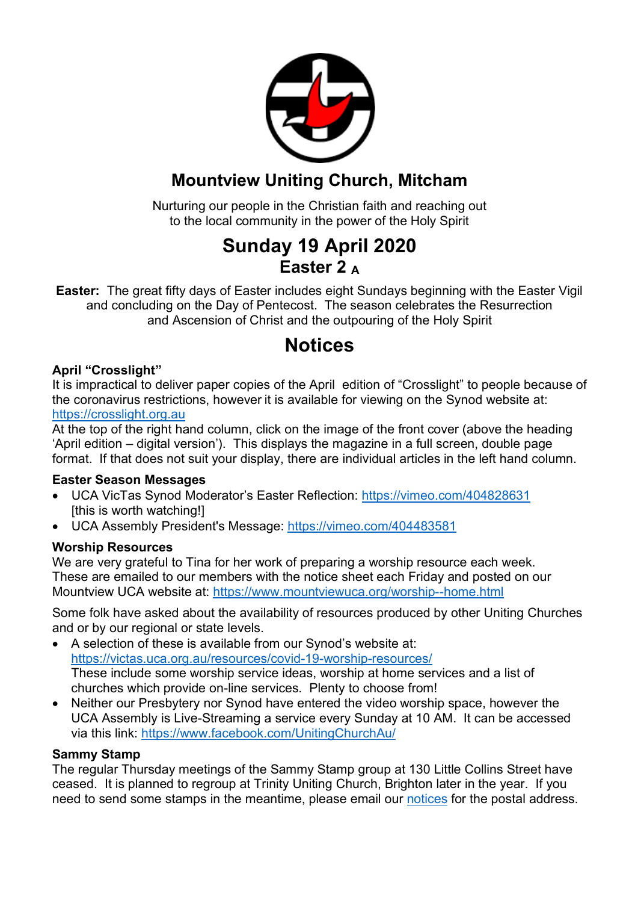

### **Mountview Uniting Church, Mitcham**

Nurturing our people in the Christian faith and reaching out to the local community in the power of the Holy Spirit

## **Sunday 19 April 2020 Easter 2 A**

**Easter:** The great fifty days of Easter includes eight Sundays beginning with the Easter Vigil and concluding on the Day of Pentecost. The season celebrates the Resurrection and Ascension of Christ and the outpouring of the Holy Spirit

# **Notices**

### **April "Crosslight"**

It is impractical to deliver paper copies of the April edition of "Crosslight" to people because of the coronavirus restrictions, however it is available for viewing on the Synod website at: https://crosslight.org.au

At the top of the right hand column, click on the image of the front cover (above the heading 'April edition – digital version'). This displays the magazine in a full screen, double page format. If that does not suit your display, there are individual articles in the left hand column.

#### **Easter Season Messages**

- UCA VicTas Synod Moderator's Easter Reflection: https://vimeo.com/404828631 [this is worth watching!]
- UCA Assembly President's Message: https://vimeo.com/404483581

### **Worship Resources**

We are very grateful to Tina for her work of preparing a worship resource each week. These are emailed to our members with the notice sheet each Friday and posted on our Mountview UCA website at: https://www.mountviewuca.org/worship--home.html

Some folk have asked about the availability of resources produced by other Uniting Churches and or by our regional or state levels.

- A selection of these is available from our Synod's website at: https://victas.uca.org.au/resources/covid-19-worship-resources/ These include some worship service ideas, worship at home services and a list of churches which provide on-line services. Plenty to choose from!
- Neither our Presbytery nor Synod have entered the video worship space, however the UCA Assembly is Live-Streaming a service every Sunday at 10 AM. It can be accessed via this link: https://www.facebook.com/UnitingChurchAu/

#### **Sammy Stamp**

The regular Thursday meetings of the Sammy Stamp group at 130 Little Collins Street have ceased. It is planned to regroup at Trinity Uniting Church, Brighton later in the year. If you need to send some stamps in the meantime, please email our notices for the postal address.